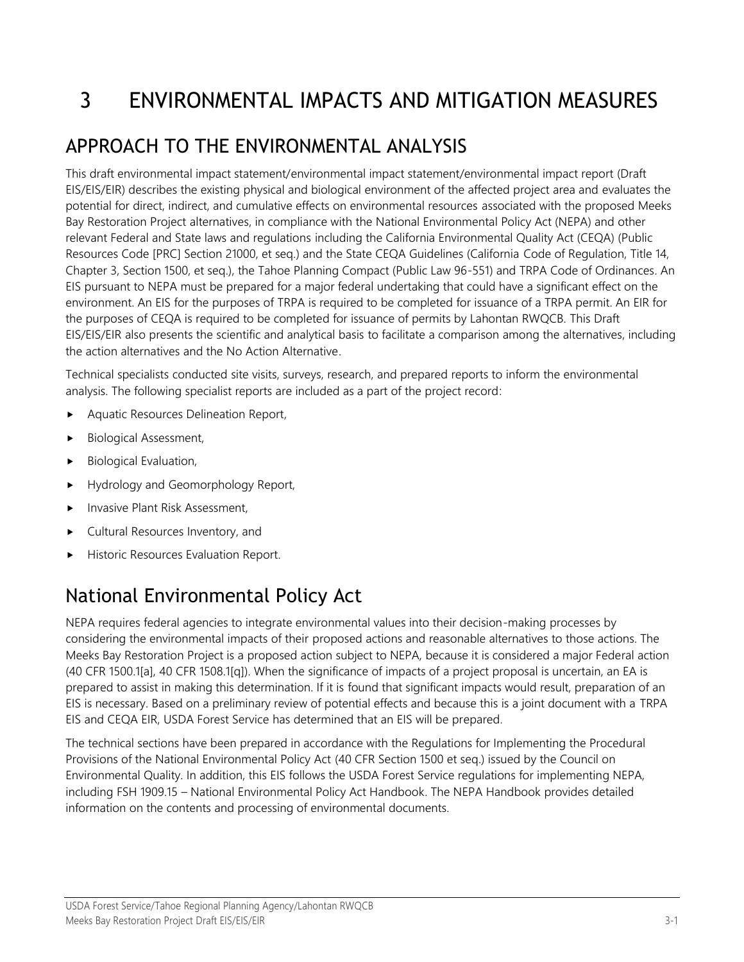# 3 ENVIRONMENTAL IMPACTS AND MITIGATION MEASURES

## APPROACH TO THE ENVIRONMENTAL ANALYSIS

This draft environmental impact statement/environmental impact statement/environmental impact report (Draft EIS/EIS/EIR) describes the existing physical and biological environment of the affected project area and evaluates the potential for direct, indirect, and cumulative effects on environmental resources associated with the proposed Meeks Bay Restoration Project alternatives, in compliance with the National Environmental Policy Act (NEPA) and other relevant Federal and State laws and regulations including the California Environmental Quality Act (CEQA) (Public Resources Code [PRC] Section 21000, et seq.) and the State CEQA Guidelines (California Code of Regulation, Title 14, Chapter 3, Section 1500, et seq.), the Tahoe Planning Compact (Public Law 96-551) and TRPA Code of Ordinances. An EIS pursuant to NEPA must be prepared for a major federal undertaking that could have a significant effect on the environment. An EIS for the purposes of TRPA is required to be completed for issuance of a TRPA permit. An EIR for the purposes of CEQA is required to be completed for issuance of permits by Lahontan RWQCB. This Draft EIS/EIS/EIR also presents the scientific and analytical basis to facilitate a comparison among the alternatives, including the action alternatives and the No Action Alternative.

Technical specialists conducted site visits, surveys, research, and prepared reports to inform the environmental analysis. The following specialist reports are included as a part of the project record:

- Aquatic Resources Delineation Report,
- **Biological Assessment,**
- Biological Evaluation,
- Hydrology and Geomorphology Report,
- Invasive Plant Risk Assessment,
- Cultural Resources Inventory, and
- Historic Resources Evaluation Report.

#### National Environmental Policy Act

NEPA requires federal agencies to integrate environmental values into their decision-making processes by considering the environmental impacts of their proposed actions and reasonable alternatives to those actions. The Meeks Bay Restoration Project is a proposed action subject to NEPA, because it is considered a major Federal action (40 CFR 1500.1[a], 40 CFR 1508.1[q]). When the significance of impacts of a project proposal is uncertain, an EA is prepared to assist in making this determination. If it is found that significant impacts would result, preparation of an EIS is necessary. Based on a preliminary review of potential effects and because this is a joint document with a TRPA EIS and CEQA EIR, USDA Forest Service has determined that an EIS will be prepared.

The technical sections have been prepared in accordance with the Regulations for Implementing the Procedural Provisions of the National Environmental Policy Act (40 CFR Section 1500 et seq.) issued by the Council on Environmental Quality. In addition, this EIS follows the USDA Forest Service regulations for implementing NEPA, including FSH 1909.15 – National Environmental Policy Act Handbook. The NEPA Handbook provides detailed information on the contents and processing of environmental documents.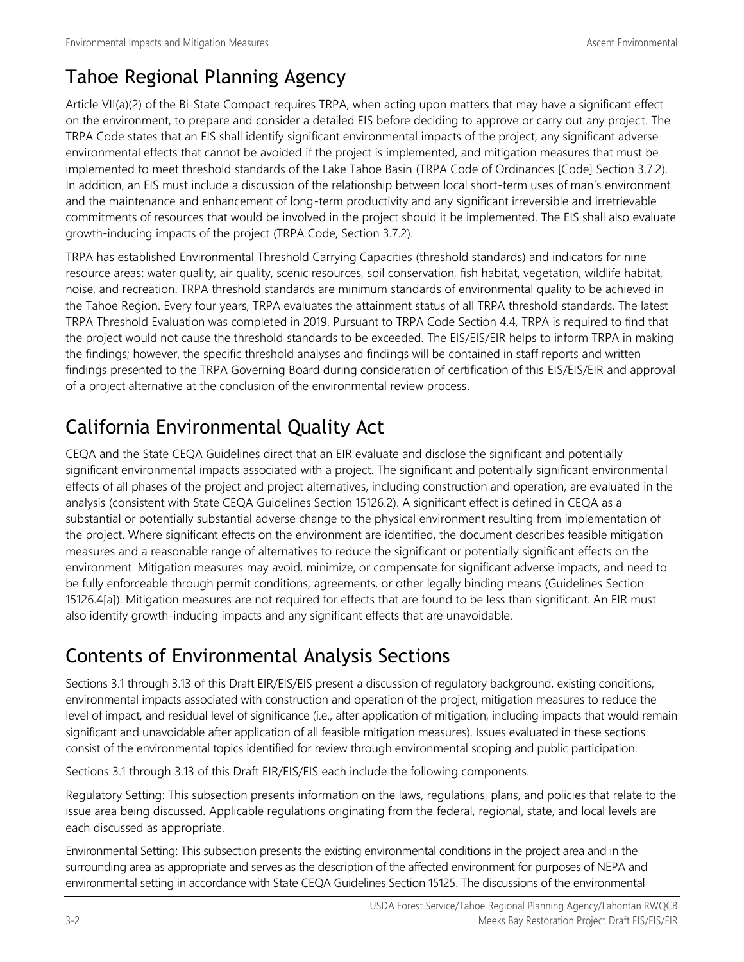#### Tahoe Regional Planning Agency

Article VII(a)(2) of the Bi-State Compact requires TRPA, when acting upon matters that may have a significant effect on the environment, to prepare and consider a detailed EIS before deciding to approve or carry out any project. The TRPA Code states that an EIS shall identify significant environmental impacts of the project, any significant adverse environmental effects that cannot be avoided if the project is implemented, and mitigation measures that must be implemented to meet threshold standards of the Lake Tahoe Basin (TRPA Code of Ordinances [Code] Section 3.7.2). In addition, an EIS must include a discussion of the relationship between local short-term uses of man's environment and the maintenance and enhancement of long-term productivity and any significant irreversible and irretrievable commitments of resources that would be involved in the project should it be implemented. The EIS shall also evaluate growth-inducing impacts of the project (TRPA Code, Section 3.7.2).

TRPA has established Environmental Threshold Carrying Capacities (threshold standards) and indicators for nine resource areas: water quality, air quality, scenic resources, soil conservation, fish habitat, vegetation, wildlife habitat, noise, and recreation. TRPA threshold standards are minimum standards of environmental quality to be achieved in the Tahoe Region. Every four years, TRPA evaluates the attainment status of all TRPA threshold standards. The latest TRPA Threshold Evaluation was completed in 2019. Pursuant to TRPA Code Section 4.4, TRPA is required to find that the project would not cause the threshold standards to be exceeded. The EIS/EIS/EIR helps to inform TRPA in making the findings; however, the specific threshold analyses and findings will be contained in staff reports and written findings presented to the TRPA Governing Board during consideration of certification of this EIS/EIS/EIR and approval of a project alternative at the conclusion of the environmental review process.

# California Environmental Quality Act

CEQA and the State CEQA Guidelines direct that an EIR evaluate and disclose the significant and potentially significant environmental impacts associated with a project. The significant and potentially significant environmental effects of all phases of the project and project alternatives, including construction and operation, are evaluated in the analysis (consistent with State CEQA Guidelines Section 15126.2). A significant effect is defined in CEQA as a substantial or potentially substantial adverse change to the physical environment resulting from implementation of the project. Where significant effects on the environment are identified, the document describes feasible mitigation measures and a reasonable range of alternatives to reduce the significant or potentially significant effects on the environment. Mitigation measures may avoid, minimize, or compensate for significant adverse impacts, and need to be fully enforceable through permit conditions, agreements, or other legally binding means (Guidelines Section 15126.4[a]). Mitigation measures are not required for effects that are found to be less than significant. An EIR must also identify growth-inducing impacts and any significant effects that are unavoidable.

### Contents of Environmental Analysis Sections

Sections 3.1 through 3.13 of this Draft EIR/EIS/EIS present a discussion of regulatory background, existing conditions, environmental impacts associated with construction and operation of the project, mitigation measures to reduce the level of impact, and residual level of significance (i.e., after application of mitigation, including impacts that would remain significant and unavoidable after application of all feasible mitigation measures). Issues evaluated in these sections consist of the environmental topics identified for review through environmental scoping and public participation.

Sections 3.1 through 3.13 of this Draft EIR/EIS/EIS each include the following components.

Regulatory Setting: This subsection presents information on the laws, regulations, plans, and policies that relate to the issue area being discussed. Applicable regulations originating from the federal, regional, state, and local levels are each discussed as appropriate.

Environmental Setting: This subsection presents the existing environmental conditions in the project area and in the surrounding area as appropriate and serves as the description of the affected environment for purposes of NEPA and environmental setting in accordance with State CEQA Guidelines Section 15125. The discussions of the environmental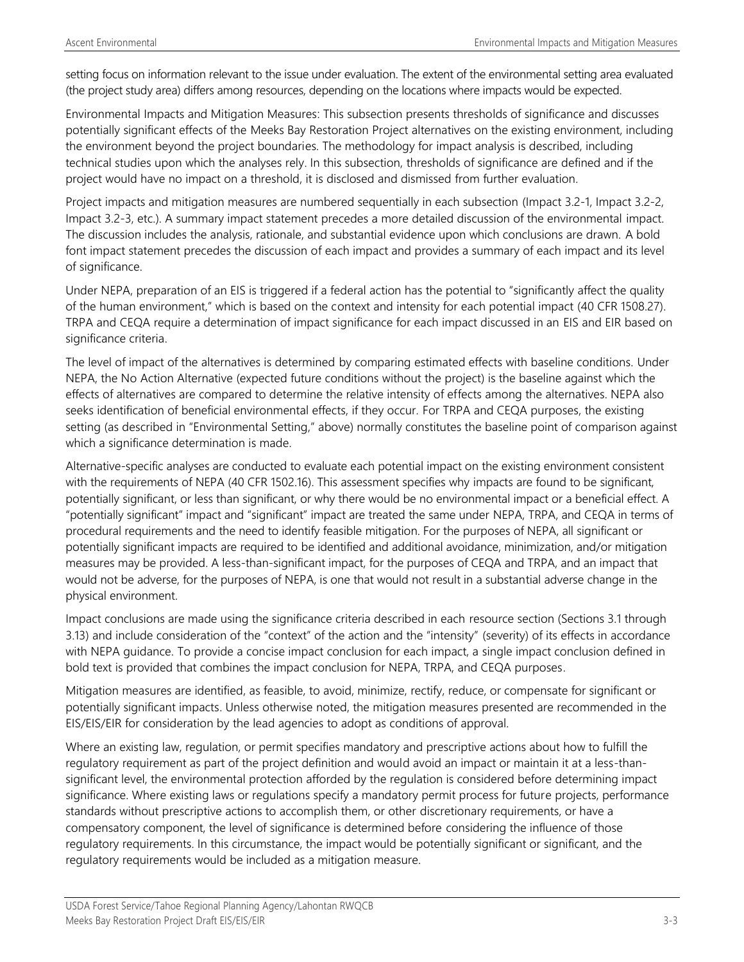setting focus on information relevant to the issue under evaluation. The extent of the environmental setting area evaluated (the project study area) differs among resources, depending on the locations where impacts would be expected.

Environmental Impacts and Mitigation Measures: This subsection presents thresholds of significance and discusses potentially significant effects of the Meeks Bay Restoration Project alternatives on the existing environment, including the environment beyond the project boundaries. The methodology for impact analysis is described, including technical studies upon which the analyses rely. In this subsection, thresholds of significance are defined and if the project would have no impact on a threshold, it is disclosed and dismissed from further evaluation.

Project impacts and mitigation measures are numbered sequentially in each subsection (Impact 3.2-1, Impact 3.2-2, Impact 3.2-3, etc.). A summary impact statement precedes a more detailed discussion of the environmental impact. The discussion includes the analysis, rationale, and substantial evidence upon which conclusions are drawn. A bold font impact statement precedes the discussion of each impact and provides a summary of each impact and its level of significance.

Under NEPA, preparation of an EIS is triggered if a federal action has the potential to "significantly affect the quality of the human environment," which is based on the context and intensity for each potential impact (40 CFR 1508.27). TRPA and CEQA require a determination of impact significance for each impact discussed in an EIS and EIR based on significance criteria.

The level of impact of the alternatives is determined by comparing estimated effects with baseline conditions. Under NEPA, the No Action Alternative (expected future conditions without the project) is the baseline against which the effects of alternatives are compared to determine the relative intensity of effects among the alternatives. NEPA also seeks identification of beneficial environmental effects, if they occur. For TRPA and CEQA purposes, the existing setting (as described in "Environmental Setting," above) normally constitutes the baseline point of comparison against which a significance determination is made.

Alternative-specific analyses are conducted to evaluate each potential impact on the existing environment consistent with the requirements of NEPA (40 CFR 1502.16). This assessment specifies why impacts are found to be significant, potentially significant, or less than significant, or why there would be no environmental impact or a beneficial effect. A "potentially significant" impact and "significant" impact are treated the same under NEPA, TRPA, and CEQA in terms of procedural requirements and the need to identify feasible mitigation. For the purposes of NEPA, all significant or potentially significant impacts are required to be identified and additional avoidance, minimization, and/or mitigation measures may be provided. A less-than-significant impact, for the purposes of CEQA and TRPA, and an impact that would not be adverse, for the purposes of NEPA, is one that would not result in a substantial adverse change in the physical environment.

Impact conclusions are made using the significance criteria described in each resource section (Sections 3.1 through 3.13) and include consideration of the "context" of the action and the "intensity" (severity) of its effects in accordance with NEPA guidance. To provide a concise impact conclusion for each impact, a single impact conclusion defined in bold text is provided that combines the impact conclusion for NEPA, TRPA, and CEQA purposes.

Mitigation measures are identified, as feasible, to avoid, minimize, rectify, reduce, or compensate for significant or potentially significant impacts. Unless otherwise noted, the mitigation measures presented are recommended in the EIS/EIS/EIR for consideration by the lead agencies to adopt as conditions of approval.

Where an existing law, regulation, or permit specifies mandatory and prescriptive actions about how to fulfill the regulatory requirement as part of the project definition and would avoid an impact or maintain it at a less-thansignificant level, the environmental protection afforded by the regulation is considered before determining impact significance. Where existing laws or regulations specify a mandatory permit process for future projects, performance standards without prescriptive actions to accomplish them, or other discretionary requirements, or have a compensatory component, the level of significance is determined before considering the influence of those regulatory requirements. In this circumstance, the impact would be potentially significant or significant, and the regulatory requirements would be included as a mitigation measure.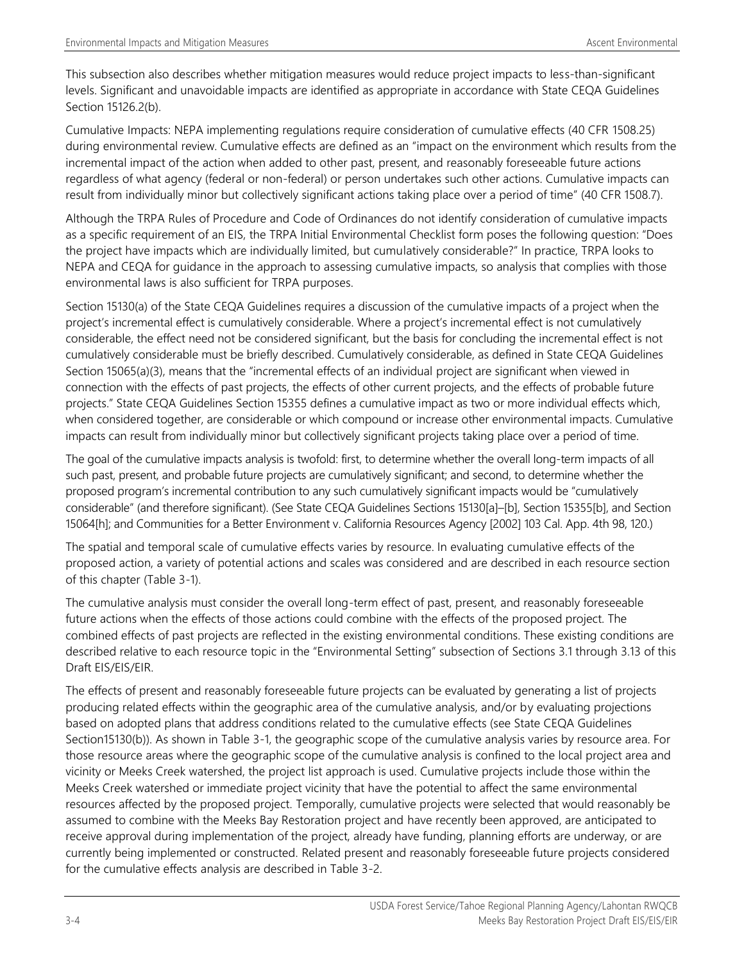This subsection also describes whether mitigation measures would reduce project impacts to less-than-significant levels. Significant and unavoidable impacts are identified as appropriate in accordance with State CEQA Guidelines Section 15126.2(b).

Cumulative Impacts: NEPA implementing regulations require consideration of cumulative effects (40 CFR 1508.25) during environmental review. Cumulative effects are defined as an "impact on the environment which results from the incremental impact of the action when added to other past, present, and reasonably foreseeable future actions regardless of what agency (federal or non-federal) or person undertakes such other actions. Cumulative impacts can result from individually minor but collectively significant actions taking place over a period of time" (40 CFR 1508.7).

Although the TRPA Rules of Procedure and Code of Ordinances do not identify consideration of cumulative impacts as a specific requirement of an EIS, the TRPA Initial Environmental Checklist form poses the following question: "Does the project have impacts which are individually limited, but cumulatively considerable?" In practice, TRPA looks to NEPA and CEQA for guidance in the approach to assessing cumulative impacts, so analysis that complies with those environmental laws is also sufficient for TRPA purposes.

Section 15130(a) of the State CEQA Guidelines requires a discussion of the cumulative impacts of a project when the project's incremental effect is cumulatively considerable. Where a project's incremental effect is not cumulatively considerable, the effect need not be considered significant, but the basis for concluding the incremental effect is not cumulatively considerable must be briefly described. Cumulatively considerable, as defined in State CEQA Guidelines Section 15065(a)(3), means that the "incremental effects of an individual project are significant when viewed in connection with the effects of past projects, the effects of other current projects, and the effects of probable future projects." State CEQA Guidelines Section 15355 defines a cumulative impact as two or more individual effects which, when considered together, are considerable or which compound or increase other environmental impacts. Cumulative impacts can result from individually minor but collectively significant projects taking place over a period of time.

The goal of the cumulative impacts analysis is twofold: first, to determine whether the overall long-term impacts of all such past, present, and probable future projects are cumulatively significant; and second, to determine whether the proposed program's incremental contribution to any such cumulatively significant impacts would be "cumulatively considerable" (and therefore significant). (See State CEQA Guidelines Sections 15130[a]–[b], Section 15355[b], and Section 15064[h]; and Communities for a Better Environment v. California Resources Agency [2002] 103 Cal. App. 4th 98, 120.)

The spatial and temporal scale of cumulative effects varies by resource. In evaluating cumulative effects of the proposed action, a variety of potential actions and scales was considered and are described in each resource section of this chapter (Table 3-1).

The cumulative analysis must consider the overall long-term effect of past, present, and reasonably foreseeable future actions when the effects of those actions could combine with the effects of the proposed project. The combined effects of past projects are reflected in the existing environmental conditions. These existing conditions are described relative to each resource topic in the "Environmental Setting" subsection of Sections 3.1 through 3.13 of this Draft EIS/EIS/EIR.

The effects of present and reasonably foreseeable future projects can be evaluated by generating a list of projects producing related effects within the geographic area of the cumulative analysis, and/or by evaluating projections based on adopted plans that address conditions related to the cumulative effects (see State CEQA Guidelines Section15130(b)). As shown in Table 3-1, the geographic scope of the cumulative analysis varies by resource area. For those resource areas where the geographic scope of the cumulative analysis is confined to the local project area and vicinity or Meeks Creek watershed, the project list approach is used. Cumulative projects include those within the Meeks Creek watershed or immediate project vicinity that have the potential to affect the same environmental resources affected by the proposed project. Temporally, cumulative projects were selected that would reasonably be assumed to combine with the Meeks Bay Restoration project and have recently been approved, are anticipated to receive approval during implementation of the project, already have funding, planning efforts are underway, or are currently being implemented or constructed. Related present and reasonably foreseeable future projects considered for the cumulative effects analysis are described in Table 3-2.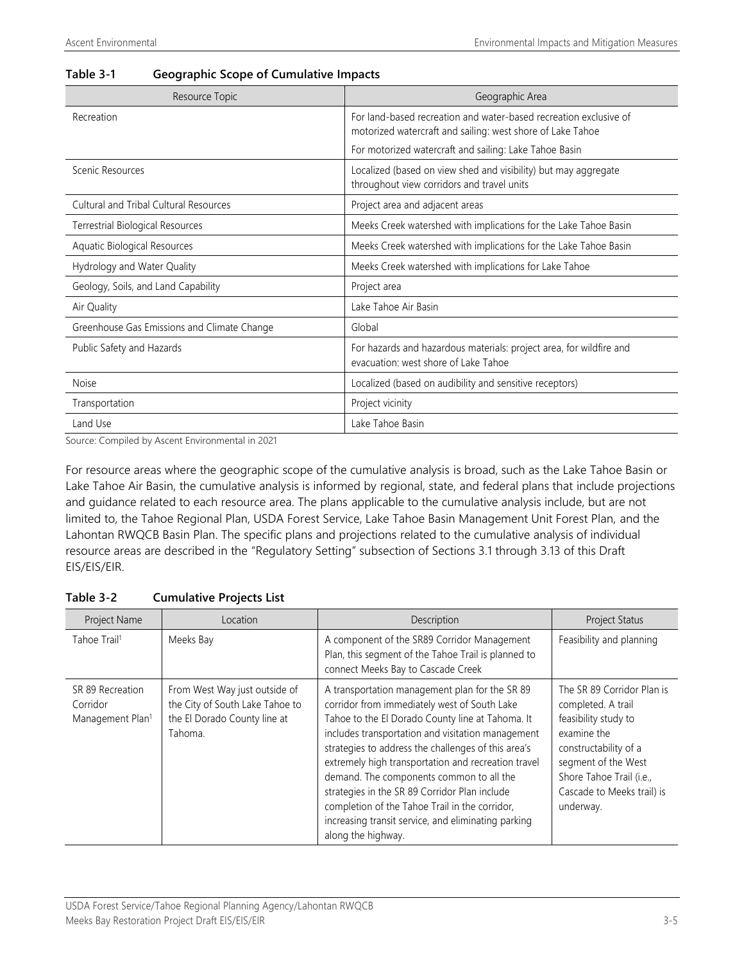| Resource Topic                                | Geographic Area                                                                                                                 |
|-----------------------------------------------|---------------------------------------------------------------------------------------------------------------------------------|
| Recreation                                    | For land-based recreation and water-based recreation exclusive of<br>motorized watercraft and sailing: west shore of Lake Tahoe |
|                                               | For motorized watercraft and sailing: Lake Tahoe Basin                                                                          |
| Scenic Resources                              | Localized (based on view shed and visibility) but may aggregate<br>throughout view corridors and travel units                   |
| <b>Cultural and Tribal Cultural Resources</b> | Project area and adjacent areas                                                                                                 |
| Terrestrial Biological Resources              | Meeks Creek watershed with implications for the Lake Tahoe Basin                                                                |
| Aquatic Biological Resources                  | Meeks Creek watershed with implications for the Lake Tahoe Basin                                                                |
| Hydrology and Water Quality                   | Meeks Creek watershed with implications for Lake Tahoe                                                                          |
| Geology, Soils, and Land Capability           | Project area                                                                                                                    |
| Air Quality                                   | Lake Tahoe Air Basin                                                                                                            |
| Greenhouse Gas Emissions and Climate Change   | Global                                                                                                                          |
| Public Safety and Hazards                     | For hazards and hazardous materials: project area, for wildfire and<br>evacuation: west shore of Lake Tahoe                     |
| <b>Noise</b>                                  | Localized (based on audibility and sensitive receptors)                                                                         |
| Transportation                                | Project vicinity                                                                                                                |
| Land Use                                      | Lake Tahoe Basin                                                                                                                |

#### **Table 3-1 Geographic Scope of Cumulative Impacts**

Source: Compiled by Ascent Environmental in 2021

For resource areas where the geographic scope of the cumulative analysis is broad, such as the Lake Tahoe Basin or Lake Tahoe Air Basin, the cumulative analysis is informed by regional, state, and federal plans that include projections and guidance related to each resource area. The plans applicable to the cumulative analysis include, but are not limited to, the Tahoe Regional Plan, USDA Forest Service, Lake Tahoe Basin Management Unit Forest Plan, and the Lahontan RWQCB Basin Plan. The specific plans and projections related to the cumulative analysis of individual resource areas are described in the "Regulatory Setting" subsection of Sections 3.1 through 3.13 of this Draft EIS/EIS/EIR.

| Table 3-2 | <b>Cumulative Projects List</b> |  |  |
|-----------|---------------------------------|--|--|
|-----------|---------------------------------|--|--|

| Project Name                                                 | Location                                                                                                    | Description                                                                                                                                                                                                                                                                                                                                                                                                                                                                                                                                       | <b>Project Status</b>                                                                                                                                                                                          |
|--------------------------------------------------------------|-------------------------------------------------------------------------------------------------------------|---------------------------------------------------------------------------------------------------------------------------------------------------------------------------------------------------------------------------------------------------------------------------------------------------------------------------------------------------------------------------------------------------------------------------------------------------------------------------------------------------------------------------------------------------|----------------------------------------------------------------------------------------------------------------------------------------------------------------------------------------------------------------|
| Tahoe Trail <sup>1</sup>                                     | Meeks Bay                                                                                                   | A component of the SR89 Corridor Management<br>Plan, this segment of the Tahoe Trail is planned to<br>connect Meeks Bay to Cascade Creek                                                                                                                                                                                                                                                                                                                                                                                                          | Feasibility and planning                                                                                                                                                                                       |
| SR 89 Recreation<br>Corridor<br>Management Plan <sup>1</sup> | From West Way just outside of<br>the City of South Lake Tahoe to<br>the El Dorado County line at<br>Tahoma. | A transportation management plan for the SR 89<br>corridor from immediately west of South Lake<br>Tahoe to the El Dorado County line at Tahoma. It<br>includes transportation and visitation management<br>strategies to address the challenges of this area's<br>extremely high transportation and recreation travel<br>demand. The components common to all the<br>strategies in the SR 89 Corridor Plan include<br>completion of the Tahoe Trail in the corridor,<br>increasing transit service, and eliminating parking<br>along the highway. | The SR 89 Corridor Plan is<br>completed. A trail<br>feasibility study to<br>examine the<br>constructability of a<br>segment of the West<br>Shore Tahoe Trail (i.e.,<br>Cascade to Meeks trail) is<br>underway. |